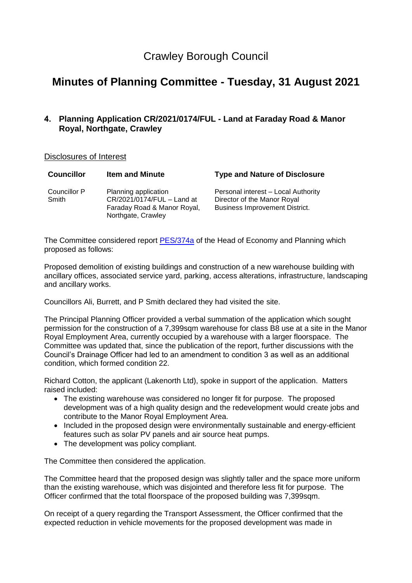## Crawley Borough Council

# **Minutes of Planning Committee - Tuesday, 31 August 2021**

### **4. Planning Application CR/2021/0174/FUL - Land at Faraday Road & Manor Royal, Northgate, Crawley**

#### Disclosures of Interest

| <b>Councillor</b>     | <b>Item and Minute</b>                                                                                  | <b>Type and Nature of Disclosure</b>                                                                        |
|-----------------------|---------------------------------------------------------------------------------------------------------|-------------------------------------------------------------------------------------------------------------|
| Councillor P<br>Smith | Planning application<br>CR/2021/0174/FUL - Land at<br>Faraday Road & Manor Royal,<br>Northgate, Crawley | Personal interest - Local Authority<br>Director of the Manor Royal<br><b>Business Improvement District.</b> |

The Committee considered report [PES/374a](https://democracy.crawley.gov.uk/documents/s18924/PES347a%20-%20Land%20at%20Faraday%20Road%20Manor%20Royal%20Northgate%20-%20CR20210174FUL.pdf) of the Head of Economy and Planning which proposed as follows:

Proposed demolition of existing buildings and construction of a new warehouse building with ancillary offices, associated service yard, parking, access alterations, infrastructure, landscaping and ancillary works.

Councillors Ali, Burrett, and P Smith declared they had visited the site.

The Principal Planning Officer provided a verbal summation of the application which sought permission for the construction of a 7,399sqm warehouse for class B8 use at a site in the Manor Royal Employment Area, currently occupied by a warehouse with a larger floorspace. The Committee was updated that, since the publication of the report, further discussions with the Council's Drainage Officer had led to an amendment to condition 3 as well as an additional condition, which formed condition 22.

Richard Cotton, the applicant (Lakenorth Ltd), spoke in support of the application. Matters raised included:

- The existing warehouse was considered no longer fit for purpose. The proposed development was of a high quality design and the redevelopment would create jobs and contribute to the Manor Royal Employment Area.
- Included in the proposed design were environmentally sustainable and energy-efficient features such as solar PV panels and air source heat pumps.
- The development was policy compliant.

The Committee then considered the application.

The Committee heard that the proposed design was slightly taller and the space more uniform than the existing warehouse, which was disjointed and therefore less fit for purpose. The Officer confirmed that the total floorspace of the proposed building was 7,399sqm.

On receipt of a query regarding the Transport Assessment, the Officer confirmed that the expected reduction in vehicle movements for the proposed development was made in